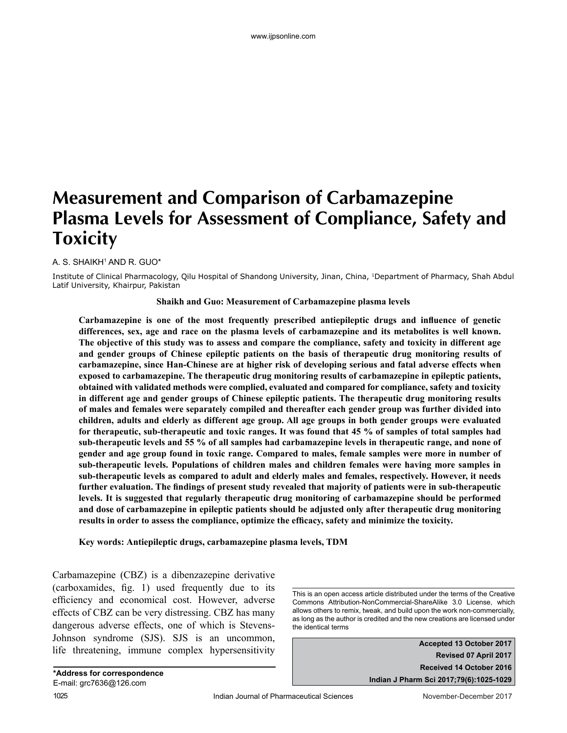# **Measurement and Comparison of Carbamazepine Plasma Levels for Assessment of Compliance, Safety and Toxicity**

A. S. SHAIKH1 AND R. GUO\*

Institute of Clinical Pharmacology, Qilu Hospital of Shandong University, Jinan, China, 1Department of Pharmacy, Shah Abdul Latif University, Khairpur, Pakistan

#### **Shaikh and Guo: Measurement of Carbamazepine plasma levels**

**Carbamazepine is one of the most frequently prescribed antiepileptic drugs and influence of genetic differences, sex, age and race on the plasma levels of carbamazepine and its metabolites is well known. The objective of this study was to assess and compare the compliance, safety and toxicity in different age and gender groups of Chinese epileptic patients on the basis of therapeutic drug monitoring results of carbamazepine, since Han-Chinese are at higher risk of developing serious and fatal adverse effects when exposed to carbamazepine. The therapeutic drug monitoring results of carbamazepine in epileptic patients, obtained with validated methods were complied, evaluated and compared for compliance, safety and toxicity in different age and gender groups of Chinese epileptic patients. The therapeutic drug monitoring results of males and females were separately compiled and thereafter each gender group was further divided into children, adults and elderly as different age group. All age groups in both gender groups were evaluated for therapeutic, sub-therapeutic and toxic ranges. It was found that 45 % of samples of total samples had sub-therapeutic levels and 55 % of all samples had carbamazepine levels in therapeutic range, and none of gender and age group found in toxic range. Compared to males, female samples were more in number of sub-therapeutic levels. Populations of children males and children females were having more samples in sub-therapeutic levels as compared to adult and elderly males and females, respectively. However, it needs further evaluation. The findings of present study revealed that majority of patients were in sub-therapeutic levels. It is suggested that regularly therapeutic drug monitoring of carbamazepine should be performed and dose of carbamazepine in epileptic patients should be adjusted only after therapeutic drug monitoring results in order to assess the compliance, optimize the efficacy, safety and minimize the toxicity.** 

**Key words: Antiepileptic drugs, carbamazepine plasma levels, TDM**

Carbamazepine (CBZ) is a dibenzazepine derivative (carboxamides, fig. 1) used frequently due to its efficiency and economical cost. However, adverse effects of CBZ can be very distressing. CBZ has many dangerous adverse effects, one of which is Stevens-Johnson syndrome (SJS). SJS is an uncommon, life threatening, immune complex hypersensitivity

This is an open access article distributed under the terms of the Creative Commons Attribution-NonCommercial-ShareAlike 3.0 License, which allows others to remix, tweak, and build upon the work non-commercially, as long as the author is credited and the new creations are licensed under the identical terms

> **Accepted 13 October 2017 Revised 07 April 2017 Received 14 October 2016 Indian J Pharm Sci 2017;79(6):1025-1029**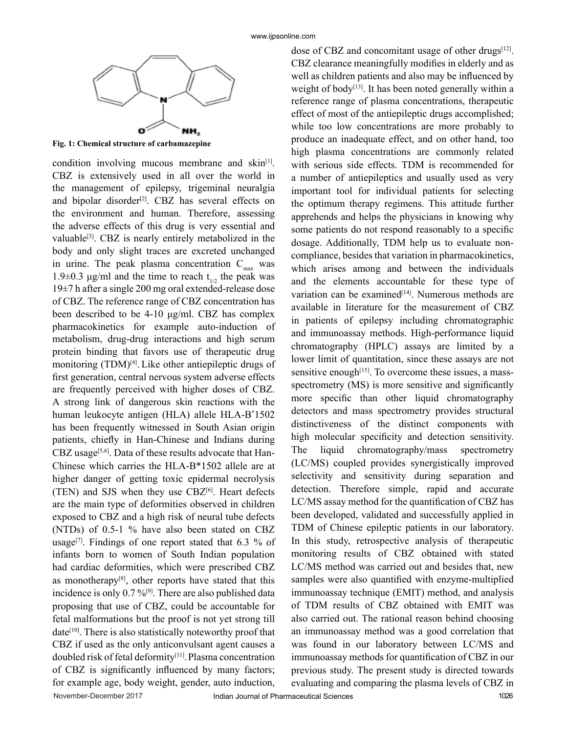

**Fig. 1: Chemical structure of carbamazepine**

November-December 2017 Indian Journal of Pharmaceutical Sciences 1026 condition involving mucous membrane and  $skin^{[1]}$ . CBZ is extensively used in all over the world in the management of epilepsy, trigeminal neuralgia and bipolar disorder<sup>[2]</sup>. CBZ has several effects on the environment and human. Therefore, assessing the adverse effects of this drug is very essential and valuable[3]. CBZ is nearly entirely metabolized in the body and only slight traces are excreted unchanged in urine. The peak plasma concentration  $C_{\text{max}}$  was 1.9 $\pm$ 0.3 μg/ml and the time to reach t<sub>1/2</sub> the peak was 19±7 h after a single 200 mg oral extended-release dose of CBZ. The reference range of CBZ concentration has been described to be 4-10 μg/ml. CBZ has complex pharmacokinetics for example auto-induction of metabolism, drug-drug interactions and high serum protein binding that favors use of therapeutic drug monitoring (TDM)<sup>[4]</sup>. Like other antiepileptic drugs of first generation, central nervous system adverse effects are frequently perceived with higher doses of CBZ. A strong link of dangerous skin reactions with the human leukocyte antigen (HLA) allele HLA-B\* 1502 has been frequently witnessed in South Asian origin patients, chiefly in Han-Chinese and Indians during CBZ usage<sup>[5,6]</sup>. Data of these results advocate that Han-Chinese which carries the HLA-B\*1502 allele are at higher danger of getting toxic epidermal necrolysis (TEN) and SJS when they use  $CBZ^{[6]}$ . Heart defects are the main type of deformities observed in children exposed to CBZ and a high risk of neural tube defects (NTDs) of 0.5-1 % have also been stated on CBZ usage<sup>[7]</sup>. Findings of one report stated that  $6.3\%$  of infants born to women of South Indian population had cardiac deformities, which were prescribed CBZ as monotherapy<sup>[8]</sup>, other reports have stated that this incidence is only  $0.7\%^{[9]}$ . There are also published data proposing that use of CBZ, could be accountable for fetal malformations but the proof is not yet strong till  $date<sup>[10]</sup>$ . There is also statistically noteworthy proof that CBZ if used as the only anticonvulsant agent causes a doubled risk of fetal deformity<sup>[11]</sup>. Plasma concentration of CBZ is significantly influenced by many factors; for example age, body weight, gender, auto induction,

dose of CBZ and concomitant usage of other drugs<sup>[12]</sup>. CBZ clearance meaningfully modifies in elderly and as well as children patients and also may be influenced by weight of body<sup>[13]</sup>. It has been noted generally within a reference range of plasma concentrations, therapeutic effect of most of the antiepileptic drugs accomplished; while too low concentrations are more probably to produce an inadequate effect, and on other hand, too high plasma concentrations are commonly related with serious side effects. TDM is recommended for a number of antiepileptics and usually used as very important tool for individual patients for selecting the optimum therapy regimens. This attitude further apprehends and helps the physicians in knowing why some patients do not respond reasonably to a specific dosage. Additionally, TDM help us to evaluate noncompliance, besides that variation in pharmacokinetics, which arises among and between the individuals and the elements accountable for these type of variation can be examined<sup>[14]</sup>. Numerous methods are available in literature for the measurement of CBZ in patients of epilepsy including chromatographic and immunoassay methods. High-performance liquid chromatography (HPLC) assays are limited by a lower limit of quantitation, since these assays are not sensitive enough<sup>[15]</sup>. To overcome these issues, a massspectrometry (MS) is more sensitive and significantly more specific than other liquid chromatography detectors and mass spectrometry provides structural distinctiveness of the distinct components with high molecular specificity and detection sensitivity. The liquid chromatography/mass spectrometry (LC/MS) coupled provides synergistically improved selectivity and sensitivity during separation and detection. Therefore simple, rapid and accurate LC/MS assay method for the quantification of CBZ has been developed, validated and successfully applied in TDM of Chinese epileptic patients in our laboratory. In this study, retrospective analysis of therapeutic monitoring results of CBZ obtained with stated LC/MS method was carried out and besides that, new samples were also quantified with enzyme-multiplied immunoassay technique (EMIT) method, and analysis of TDM results of CBZ obtained with EMIT was also carried out. The rational reason behind choosing an immunoassay method was a good correlation that was found in our laboratory between LC/MS and immunoassay methods for quantification of CBZ in our previous study. The present study is directed towards evaluating and comparing the plasma levels of CBZ in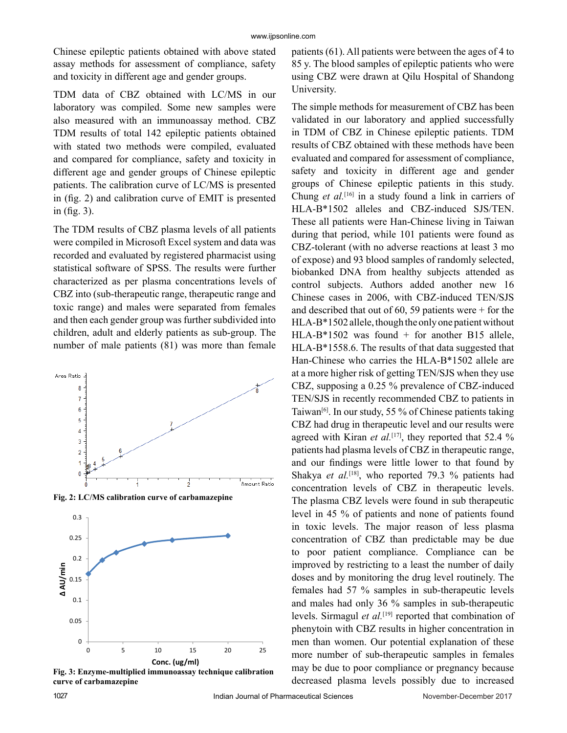Chinese epileptic patients obtained with above stated assay methods for assessment of compliance, safety and toxicity in different age and gender groups.

TDM data of CBZ obtained with LC/MS in our laboratory was compiled. Some new samples were also measured with an immunoassay method. CBZ TDM results of total 142 epileptic patients obtained with stated two methods were compiled, evaluated and compared for compliance, safety and toxicity in different age and gender groups of Chinese epileptic patients. The calibration curve of LC/MS is presented in (fig. 2) and calibration curve of EMIT is presented in (fig. 3).

The TDM results of CBZ plasma levels of all patients were compiled in Microsoft Excel system and data was recorded and evaluated by registered pharmacist using statistical software of SPSS. The results were further characterized as per plasma concentrations levels of CBZ into (sub-therapeutic range, therapeutic range and toxic range) and males were separated from females and then each gender group was further subdivided into children, adult and elderly patients as sub-group. The number of male patients (81) was more than female



**Fig. 2: LC/MS calibration curve of carbamazepine**



**Fig. 3: Enzyme-multiplied immunoassay technique calibration curve of carbamazepine**

patients (61). All patients were between the ages of 4 to 85 y. The blood samples of epileptic patients who were using CBZ were drawn at Qilu Hospital of Shandong University.

The simple methods for measurement of CBZ has been validated in our laboratory and applied successfully in TDM of CBZ in Chinese epileptic patients. TDM results of CBZ obtained with these methods have been evaluated and compared for assessment of compliance, safety and toxicity in different age and gender groups of Chinese epileptic patients in this study. Chung *et al.*[16] in a study found a link in carriers of HLA-B\*1502 alleles and CBZ-induced SJS/TEN. These all patients were Han-Chinese living in Taiwan during that period, while 101 patients were found as CBZ-tolerant (with no adverse reactions at least 3 mo of expose) and 93 blood samples of randomly selected, biobanked DNA from healthy subjects attended as control subjects. Authors added another new 16 Chinese cases in 2006, with CBZ-induced TEN/SJS and described that out of 60, 59 patients were + for the HLA-B\*1502 allele, though the only one patient without HLA-B\*1502 was found + for another B15 allele, HLA-B\*1558.6. The results of that data suggested that Han-Chinese who carries the HLA-B\*1502 allele are at a more higher risk of getting TEN/SJS when they use CBZ, supposing a 0.25 % prevalence of CBZ-induced TEN/SJS in recently recommended CBZ to patients in Taiwan<sup>[6]</sup>. In our study, 55 % of Chinese patients taking CBZ had drug in therapeutic level and our results were agreed with Kiran *et al.*<sup>[17]</sup>, they reported that 52.4 % patients had plasma levels of CBZ in therapeutic range, and our findings were little lower to that found by Shakya *et al.*<sup>[18]</sup>, who reported 79.3 % patients had concentration levels of CBZ in therapeutic levels. The plasma CBZ levels were found in sub therapeutic level in 45 % of patients and none of patients found in toxic levels. The major reason of less plasma concentration of CBZ than predictable may be due to poor patient compliance. Compliance can be improved by restricting to a least the number of daily doses and by monitoring the drug level routinely. The females had 57 % samples in sub-therapeutic levels and males had only 36 % samples in sub-therapeutic levels. Sirmagul *et al.*[19] reported that combination of phenytoin with CBZ results in higher concentration in men than women. Our potential explanation of these more number of sub-therapeutic samples in females may be due to poor compliance or pregnancy because decreased plasma levels possibly due to increased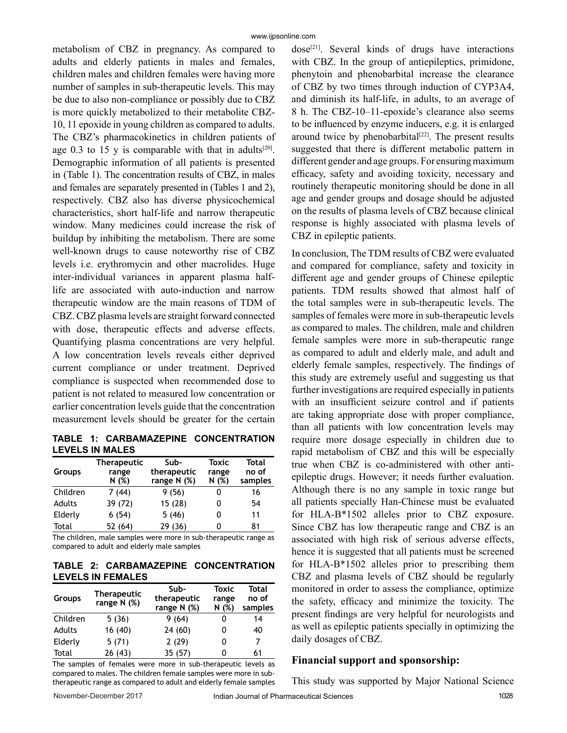metabolism of CBZ in pregnancy. As compared to adults and elderly patients in males and females, children males and children females were having more number of samples in sub-therapeutic levels. This may be due to also non-compliance or possibly due to CBZ is more quickly metabolized to their metabolite CBZ-10, 11 epoxide in young children as compared to adults. The CBZ's pharmacokinetics in children patients of age 0.3 to 15 y is comparable with that in adults<sup>[20]</sup>. Demographic information of all patients is presented in (Table 1). The concentration results of CBZ, in males and females are separately presented in (Tables 1 and 2), respectively. CBZ also has diverse physicochemical characteristics, short half-life and narrow therapeutic window. Many medicines could increase the risk of buildup by inhibiting the metabolism. There are some well-known drugs to cause noteworthy rise of CBZ levels i.e. erythromycin and other macrolides. Huge inter-individual variances in apparent plasma halflife are associated with auto-induction and narrow therapeutic window are the main reasons of TDM of CBZ. CBZ plasma levels are straight forward connected with dose, therapeutic effects and adverse effects. Quantifying plasma concentrations are very helpful. A low concentration levels reveals either deprived current compliance or under treatment. Deprived compliance is suspected when recommended dose to patient is not related to measured low concentration or earlier concentration levels guide that the concentration measurement levels should be greater for the certain

**TABLE 1: CARBAMAZEPINE CONCENTRATION LEVELS IN MALES**

| <b>Groups</b> | <b>Therapeutic</b><br>range<br>N (%) | Sub-<br>therapeutic<br>range N (%) | Toxic<br>range<br>N(%) | <b>Total</b><br>no of<br>samples |
|---------------|--------------------------------------|------------------------------------|------------------------|----------------------------------|
| Children      | 7(44)                                | 9(56)                              |                        | 16                               |
| Adults        | 39 (72)                              | 15 (28)                            |                        | 54                               |
| Elderly       | 6(54)                                | 5(46)                              |                        | 11                               |
| Total         | 52 (64)                              | 29 (36)                            |                        | 81                               |

The children, male samples were more in sub-therapeutic range as compared to adult and elderly male samples

**TABLE 2: CARBAMAZEPINE CONCENTRATION LEVELS IN FEMALES**

| <b>Groups</b> | <b>Therapeutic</b><br>range N (%) | Sub-<br>therapeutic<br>range $N$ (%) | <b>Toxic</b><br>range<br>N (%) | <b>Total</b><br>no of<br>samples |
|---------------|-----------------------------------|--------------------------------------|--------------------------------|----------------------------------|
| Children      | 5(36)                             | 9 (64)                               |                                | 14                               |
| Adults        | 16 (40)                           | 24(60)                               |                                | 40                               |
| Elderly       | 5(71)                             | 2(29)                                |                                | 7                                |
| Total         | 26(43)                            | 35 (57)                              |                                | 61                               |

The samples of females were more in sub-therapeutic levels as compared to males. The children female samples were more in subtherapeutic range as compared to adult and elderly female samples  $dose^{[21]}$ . Several kinds of drugs have interactions with CBZ. In the group of antiepileptics, primidone, phenytoin and phenobarbital increase the clearance of CBZ by two times through induction of CYP3A4, and diminish its half-life, in adults, to an average of 8 h. The CBZ-10–11-epoxide's clearance also seems to be influenced by enzyme inducers, e.g. it is enlarged around twice by phenobarbital $[22]$ . The present results suggested that there is different metabolic pattern in different gender and age groups. For ensuring maximum efficacy, safety and avoiding toxicity, necessary and routinely therapeutic monitoring should be done in all age and gender groups and dosage should be adjusted on the results of plasma levels of CBZ because clinical response is highly associated with plasma levels of CBZ in epileptic patients.

In conclusion, The TDM results of CBZ were evaluated and compared for compliance, safety and toxicity in different age and gender groups of Chinese epileptic patients. TDM results showed that almost half of the total samples were in sub-therapeutic levels. The samples of females were more in sub-therapeutic levels as compared to males. The children, male and children female samples were more in sub-therapeutic range as compared to adult and elderly male, and adult and elderly female samples, respectively. The findings of this study are extremely useful and suggesting us that further investigations are required especially in patients with an insufficient seizure control and if patients are taking appropriate dose with proper compliance, than all patients with low concentration levels may require more dosage especially in children due to rapid metabolism of CBZ and this will be especially true when CBZ is co-administered with other antiepileptic drugs. However; it needs further evaluation. Although there is no any sample in toxic range but all patients specially Han-Chinese must be evaluated for HLA-B\*1502 alleles prior to CBZ exposure. Since CBZ has low therapeutic range and CBZ is an associated with high risk of serious adverse effects, hence it is suggested that all patients must be screened for HLA-B\*1502 alleles prior to prescribing them CBZ and plasma levels of CBZ should be regularly monitored in order to assess the compliance, optimize the safety, efficacy and minimize the toxicity. The present findings are very helpful for neurologists and as well as epileptic patients specially in optimizing the daily dosages of CBZ.

## **Financial support and sponsorship:**

This study was supported by Major National Science